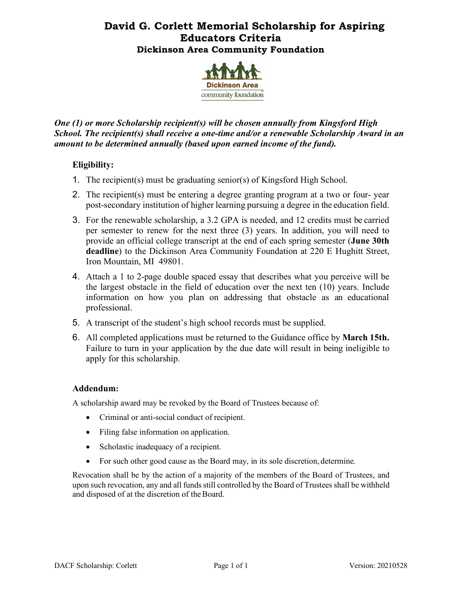## **David G. Corlett Memorial Scholarship for Aspiring Educators Criteria Dickinson Area Community Foundation**



*One (1) or more Scholarship recipient(s) will be chosen annually from Kingsford High School. The recipient(s) shall receive a one-time and/or a renewable Scholarship Award in an amount to be determined annually (based upon earned income of the fund).*

## **Eligibility:**

- 1. The recipient(s) must be graduating senior(s) of Kingsford High School.
- 2. The recipient(s) must be entering a degree granting program at a two or four- year post-secondary institution of higher learning pursuing a degree in the education field.
- 3. For the renewable scholarship, a 3.2 GPA is needed, and 12 credits must be carried per semester to renew for the next three (3) years. In addition, you will need to provide an official college transcript at the end of each spring semester (**June 30th deadline**) to the Dickinson Area Community Foundation at 220 E Hughitt Street, Iron Mountain, MI 49801.
- 4. Attach a 1 to 2-page double spaced essay that describes what you perceive will be the largest obstacle in the field of education over the next ten (10) years. Include information on how you plan on addressing that obstacle as an educational professional.
- 5. A transcript of the student's high school records must be supplied.
- 6. All completed applications must be returned to the Guidance office by **March 15th.** Failure to turn in your application by the due date will result in being ineligible to apply for this scholarship.

### **Addendum:**

A scholarship award may be revoked by the Board of Trustees because of:

- Criminal or anti-social conduct of recipient.
- Filing false information on application.
- Scholastic inadequacy of a recipient.
- For such other good cause as the Board may, in its sole discretion, determine.

Revocation shall be by the action of a majority of the members of the Board of Trustees, and upon such revocation, any and all funds still controlled by the Board of Trustees shall be withheld and disposed of at the discretion of the Board.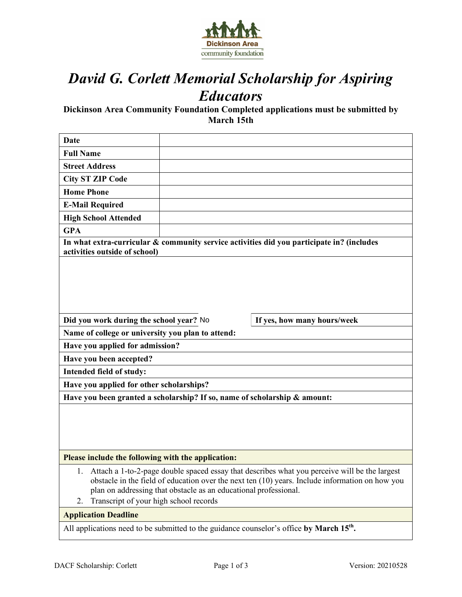

# *David G. Corlett Memorial Scholarship for Aspiring Educators*

**Dickinson Area Community Foundation Completed applications must be submitted by March 15th**

| Date                                                                                                                                                                                                                                                                                                                   |  |                             |  |  |
|------------------------------------------------------------------------------------------------------------------------------------------------------------------------------------------------------------------------------------------------------------------------------------------------------------------------|--|-----------------------------|--|--|
| <b>Full Name</b>                                                                                                                                                                                                                                                                                                       |  |                             |  |  |
| <b>Street Address</b>                                                                                                                                                                                                                                                                                                  |  |                             |  |  |
| <b>City ST ZIP Code</b>                                                                                                                                                                                                                                                                                                |  |                             |  |  |
| <b>Home Phone</b>                                                                                                                                                                                                                                                                                                      |  |                             |  |  |
| <b>E-Mail Required</b>                                                                                                                                                                                                                                                                                                 |  |                             |  |  |
| <b>High School Attended</b>                                                                                                                                                                                                                                                                                            |  |                             |  |  |
| <b>GPA</b>                                                                                                                                                                                                                                                                                                             |  |                             |  |  |
| In what extra-curricular & community service activities did you participate in? (includes<br>activities outside of school)                                                                                                                                                                                             |  |                             |  |  |
|                                                                                                                                                                                                                                                                                                                        |  |                             |  |  |
| Did you work during the school year? No                                                                                                                                                                                                                                                                                |  | If yes, how many hours/week |  |  |
| Name of college or university you plan to attend:                                                                                                                                                                                                                                                                      |  |                             |  |  |
| Have you applied for admission?                                                                                                                                                                                                                                                                                        |  |                             |  |  |
| Have you been accepted?                                                                                                                                                                                                                                                                                                |  |                             |  |  |
| Intended field of study:                                                                                                                                                                                                                                                                                               |  |                             |  |  |
| Have you applied for other scholarships?                                                                                                                                                                                                                                                                               |  |                             |  |  |
| Have you been granted a scholarship? If so, name of scholarship & amount:                                                                                                                                                                                                                                              |  |                             |  |  |
|                                                                                                                                                                                                                                                                                                                        |  |                             |  |  |
| Please include the following with the application:                                                                                                                                                                                                                                                                     |  |                             |  |  |
| Attach a 1-to-2-page double spaced essay that describes what you perceive will be the largest<br>obstacle in the field of education over the next ten $(10)$ years. Include information on how you<br>plan on addressing that obstacle as an educational professional.<br>Transcript of your high school records<br>2. |  |                             |  |  |
| <b>Application Deadline</b>                                                                                                                                                                                                                                                                                            |  |                             |  |  |
| All applications need to be submitted to the guidance counselor's office by March 15 <sup>th</sup> .                                                                                                                                                                                                                   |  |                             |  |  |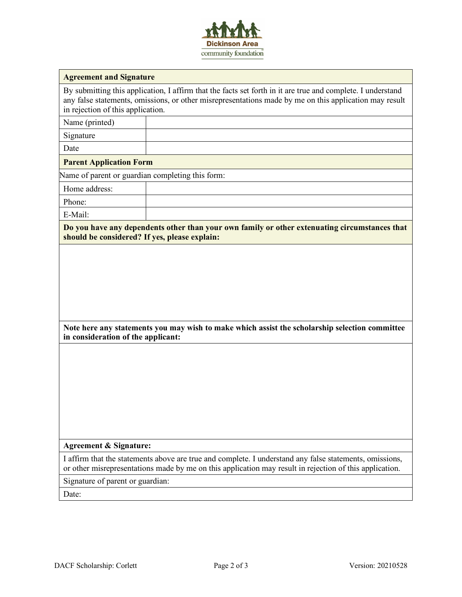

#### **Agreement and Signature**

By submitting this application, I affirm that the facts set forth in it are true and complete. I understand any false statements, omissions, or other misrepresentations made by me on this application may result in rejection of this application.

Name (printed)

Signature

Date

#### **Parent Application Form**

Name of parent or guardian completing this form:

Home address:

Phone:

E-Mail:

**Do you have any dependents other than your own family or other extenuating circumstances that should be considered? If yes, please explain:**

| Note here any statements you may wish to make which assist the scholarship selection committee |  |  |
|------------------------------------------------------------------------------------------------|--|--|
| in consideration of the applicant:                                                             |  |  |

#### **Agreement & Signature:**

I affirm that the statements above are true and complete. I understand any false statements, omissions, or other misrepresentations made by me on this application may result in rejection of this application.

Signature of parent or guardian:

Date: